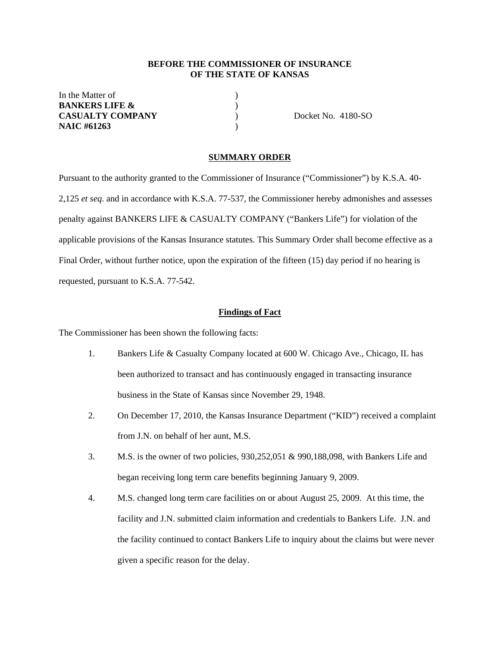### **BEFORE THE COMMISSIONER OF INSURANCE OF THE STATE OF KANSAS**

In the Matter of  $\qquad \qquad$  ) **BANKERS LIFE &** ) **CASUALTY COMPANY** ) Docket No. 4180-SO **NAIC #61263** )

#### **SUMMARY ORDER**

Pursuant to the authority granted to the Commissioner of Insurance ("Commissioner") by K.S.A. 40- 2,125 *et seq*. and in accordance with K.S.A. 77-537, the Commissioner hereby admonishes and assesses penalty against BANKERS LIFE & CASUALTY COMPANY ("Bankers Life") for violation of the applicable provisions of the Kansas Insurance statutes. This Summary Order shall become effective as a Final Order, without further notice, upon the expiration of the fifteen (15) day period if no hearing is requested, pursuant to K.S.A. 77-542.

#### **Findings of Fact**

The Commissioner has been shown the following facts:

- 1. Bankers Life & Casualty Company located at 600 W. Chicago Ave., Chicago, IL has been authorized to transact and has continuously engaged in transacting insurance business in the State of Kansas since November 29, 1948.
- 2. On December 17, 2010, the Kansas Insurance Department ("KID") received a complaint from J.N. on behalf of her aunt, M.S.
- 3. M.S. is the owner of two policies, 930,252,051 & 990,188,098, with Bankers Life and began receiving long term care benefits beginning January 9, 2009.
- 4. M.S. changed long term care facilities on or about August 25, 2009. At this time, the facility and J.N. submitted claim information and credentials to Bankers Life. J.N. and the facility continued to contact Bankers Life to inquiry about the claims but were never given a specific reason for the delay.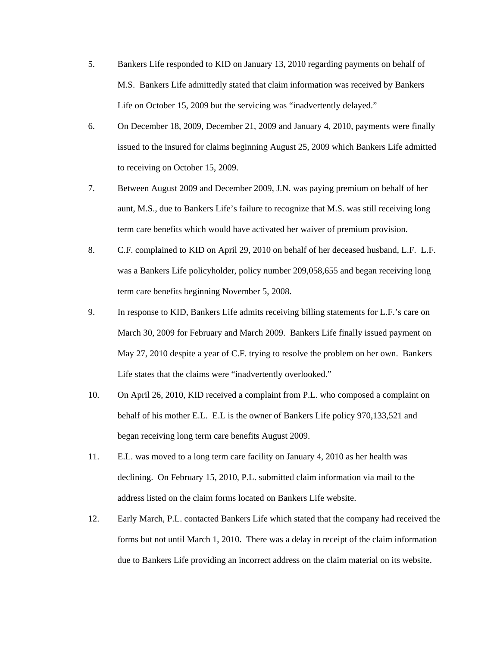- 5. Bankers Life responded to KID on January 13, 2010 regarding payments on behalf of M.S. Bankers Life admittedly stated that claim information was received by Bankers Life on October 15, 2009 but the servicing was "inadvertently delayed."
- 6. On December 18, 2009, December 21, 2009 and January 4, 2010, payments were finally issued to the insured for claims beginning August 25, 2009 which Bankers Life admitted to receiving on October 15, 2009.
- 7. Between August 2009 and December 2009, J.N. was paying premium on behalf of her aunt, M.S., due to Bankers Life's failure to recognize that M.S. was still receiving long term care benefits which would have activated her waiver of premium provision.
- 8. C.F. complained to KID on April 29, 2010 on behalf of her deceased husband, L.F. L.F. was a Bankers Life policyholder, policy number 209,058,655 and began receiving long term care benefits beginning November 5, 2008.
- 9. In response to KID, Bankers Life admits receiving billing statements for L.F.'s care on March 30, 2009 for February and March 2009. Bankers Life finally issued payment on May 27, 2010 despite a year of C.F. trying to resolve the problem on her own. Bankers Life states that the claims were "inadvertently overlooked."
- 10. On April 26, 2010, KID received a complaint from P.L. who composed a complaint on behalf of his mother E.L. E.L is the owner of Bankers Life policy 970,133,521 and began receiving long term care benefits August 2009.
- 11. E.L. was moved to a long term care facility on January 4, 2010 as her health was declining. On February 15, 2010, P.L. submitted claim information via mail to the address listed on the claim forms located on Bankers Life website.
- 12. Early March, P.L. contacted Bankers Life which stated that the company had received the forms but not until March 1, 2010. There was a delay in receipt of the claim information due to Bankers Life providing an incorrect address on the claim material on its website.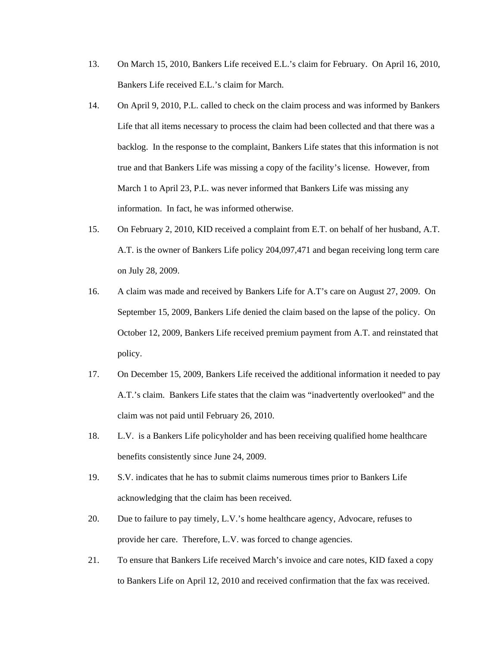- 13. On March 15, 2010, Bankers Life received E.L.'s claim for February. On April 16, 2010, Bankers Life received E.L.'s claim for March.
- 14. On April 9, 2010, P.L. called to check on the claim process and was informed by Bankers Life that all items necessary to process the claim had been collected and that there was a backlog. In the response to the complaint, Bankers Life states that this information is not true and that Bankers Life was missing a copy of the facility's license. However, from March 1 to April 23, P.L. was never informed that Bankers Life was missing any information. In fact, he was informed otherwise.
- 15. On February 2, 2010, KID received a complaint from E.T. on behalf of her husband, A.T. A.T. is the owner of Bankers Life policy 204,097,471 and began receiving long term care on July 28, 2009.
- 16. A claim was made and received by Bankers Life for A.T's care on August 27, 2009. On September 15, 2009, Bankers Life denied the claim based on the lapse of the policy. On October 12, 2009, Bankers Life received premium payment from A.T. and reinstated that policy.
- 17. On December 15, 2009, Bankers Life received the additional information it needed to pay A.T.'s claim. Bankers Life states that the claim was "inadvertently overlooked" and the claim was not paid until February 26, 2010.
- 18. L.V. is a Bankers Life policyholder and has been receiving qualified home healthcare benefits consistently since June 24, 2009.
- 19. S.V. indicates that he has to submit claims numerous times prior to Bankers Life acknowledging that the claim has been received.
- 20. Due to failure to pay timely, L.V.'s home healthcare agency, Advocare, refuses to provide her care. Therefore, L.V. was forced to change agencies.
- 21. To ensure that Bankers Life received March's invoice and care notes, KID faxed a copy to Bankers Life on April 12, 2010 and received confirmation that the fax was received.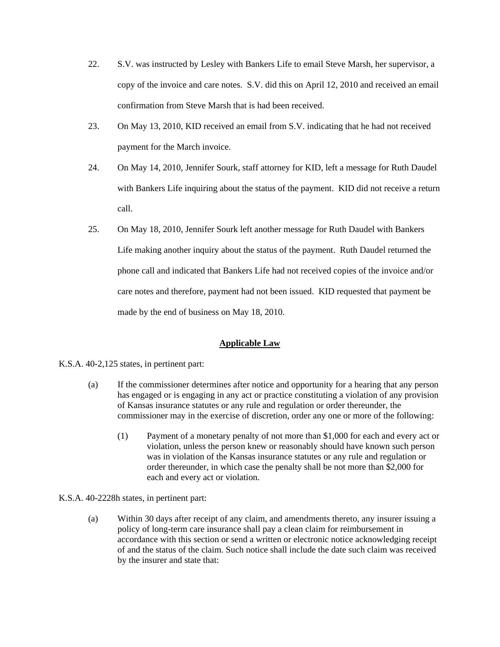- 22. S.V. was instructed by Lesley with Bankers Life to email Steve Marsh, her supervisor, a copy of the invoice and care notes. S.V. did this on April 12, 2010 and received an email confirmation from Steve Marsh that is had been received.
- 23. On May 13, 2010, KID received an email from S.V. indicating that he had not received payment for the March invoice.
- 24. On May 14, 2010, Jennifer Sourk, staff attorney for KID, left a message for Ruth Daudel with Bankers Life inquiring about the status of the payment. KID did not receive a return call.
- 25. On May 18, 2010, Jennifer Sourk left another message for Ruth Daudel with Bankers Life making another inquiry about the status of the payment. Ruth Daudel returned the phone call and indicated that Bankers Life had not received copies of the invoice and/or care notes and therefore, payment had not been issued. KID requested that payment be made by the end of business on May 18, 2010.

# **Applicable Law**

#### K.S.A. 40-2,125 states, in pertinent part:

- (a) If the commissioner determines after notice and opportunity for a hearing that any person has engaged or is engaging in any act or practice constituting a violation of any provision of Kansas insurance statutes or any rule and regulation or order thereunder, the commissioner may in the exercise of discretion, order any one or more of the following:
	- (1) Payment of a monetary penalty of not more than \$1,000 for each and every act or violation, unless the person knew or reasonably should have known such person was in violation of the Kansas insurance statutes or any rule and regulation or order thereunder, in which case the penalty shall be not more than \$2,000 for each and every act or violation.

#### K.S.A. 40-2228h states, in pertinent part:

(a) Within 30 days after receipt of any claim, and amendments thereto, any insurer issuing a policy of long-term care insurance shall pay a clean claim for reimbursement in accordance with this section or send a written or electronic notice acknowledging receipt of and the status of the claim. Such notice shall include the date such claim was received by the insurer and state that: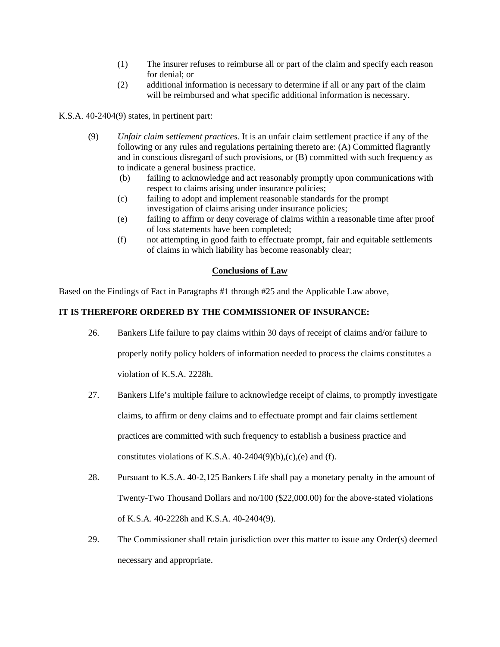- (1) The insurer refuses to reimburse all or part of the claim and specify each reason for denial; or
- (2) additional information is necessary to determine if all or any part of the claim will be reimbursed and what specific additional information is necessary.

K.S.A. 40-2404(9) states, in pertinent part:

- (9) *Unfair claim settlement practices.* It is an unfair claim settlement practice if any of the following or any rules and regulations pertaining thereto are: (A) Committed flagrantly and in conscious disregard of such provisions, or (B) committed with such frequency as to indicate a general business practice.
	- (b) failing to acknowledge and act reasonably promptly upon communications with respect to claims arising under insurance policies;
	- (c) failing to adopt and implement reasonable standards for the prompt investigation of claims arising under insurance policies;
	- (e) failing to affirm or deny coverage of claims within a reasonable time after proof of loss statements have been completed;
	- (f) not attempting in good faith to effectuate prompt, fair and equitable settlements of claims in which liability has become reasonably clear;

## **Conclusions of Law**

Based on the Findings of Fact in Paragraphs #1 through #25 and the Applicable Law above,

# **IT IS THEREFORE ORDERED BY THE COMMISSIONER OF INSURANCE:**

- 26. Bankers Life failure to pay claims within 30 days of receipt of claims and/or failure to properly notify policy holders of information needed to process the claims constitutes a violation of K.S.A. 2228h.
- 27. Bankers Life's multiple failure to acknowledge receipt of claims, to promptly investigate claims, to affirm or deny claims and to effectuate prompt and fair claims settlement practices are committed with such frequency to establish a business practice and constitutes violations of K.S.A.  $40-2404(9)(b)$ , (c), (e) and (f).
- 28. Pursuant to K.S.A. 40-2,125 Bankers Life shall pay a monetary penalty in the amount of Twenty-Two Thousand Dollars and no/100 (\$22,000.00) for the above-stated violations of K.S.A. 40-2228h and K.S.A. 40-2404(9).
- 29. The Commissioner shall retain jurisdiction over this matter to issue any Order(s) deemed necessary and appropriate.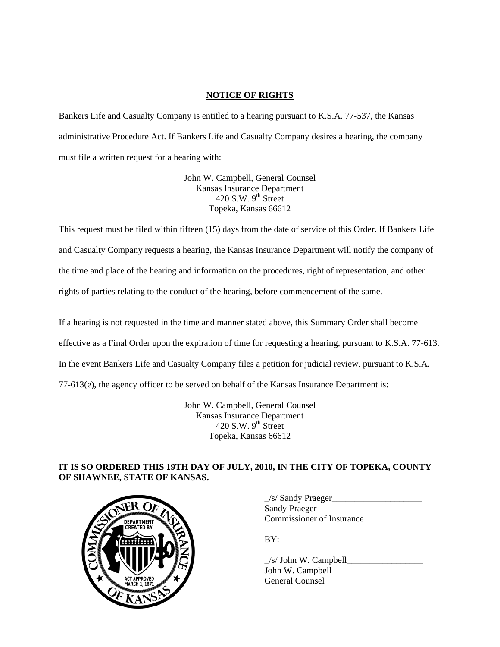# **NOTICE OF RIGHTS**

Bankers Life and Casualty Company is entitled to a hearing pursuant to K.S.A. 77-537, the Kansas administrative Procedure Act. If Bankers Life and Casualty Company desires a hearing, the company must file a written request for a hearing with:

> John W. Campbell, General Counsel Kansas Insurance Department 420 S.W.  $9<sup>th</sup>$  Street Topeka, Kansas 66612

This request must be filed within fifteen (15) days from the date of service of this Order. If Bankers Life and Casualty Company requests a hearing, the Kansas Insurance Department will notify the company of the time and place of the hearing and information on the procedures, right of representation, and other rights of parties relating to the conduct of the hearing, before commencement of the same.

If a hearing is not requested in the time and manner stated above, this Summary Order shall become effective as a Final Order upon the expiration of time for requesting a hearing, pursuant to K.S.A. 77-613. In the event Bankers Life and Casualty Company files a petition for judicial review, pursuant to K.S.A. 77-613(e), the agency officer to be served on behalf of the Kansas Insurance Department is:

> John W. Campbell, General Counsel Kansas Insurance Department  $420$  S.W.  $9<sup>th</sup>$  Street Topeka, Kansas 66612

# **IT IS SO ORDERED THIS 19TH DAY OF JULY, 2010, IN THE CITY OF TOPEKA, COUNTY OF SHAWNEE, STATE OF KANSAS.**



 \_/s/ Sandy Praeger\_\_\_\_\_\_\_\_\_\_\_\_\_\_\_\_\_\_\_\_ Sandy Praeger DEPARTMENT VOLTER COmmissioner of Insurance

 $\angle$ s/ John W. Campbell John W. Campbell General Counsel